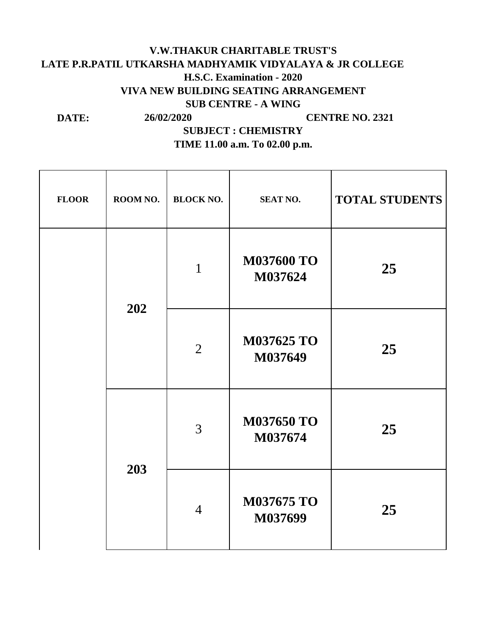## **LATE P.R.PATIL UTKARSHA MADHYAMIK VIDYALAYA & JR COLLEGE DATE: SUBJECT : CHEMISTRY V.W.THAKUR CHARITABLE TRUST'S H.S.C. Examination - 2020 VIVA NEW BUILDING SEATING ARRANGEMENT SUB CENTRE - A WING 26/02/2020 CENTRE NO. 2321**

**TIME 11.00 a.m. To 02.00 p.m.**

| <b>FLOOR</b> | ROOM NO.   | <b>BLOCK NO.</b> | <b>SEAT NO.</b>              | <b>TOTAL STUDENTS</b> |
|--------------|------------|------------------|------------------------------|-----------------------|
|              | 202<br>203 | $\mathbf{1}$     | <b>M037600 TO</b><br>M037624 | 25                    |
|              |            | $\overline{2}$   | M037625 TO<br>M037649        | 25                    |
|              |            | 3                | <b>M037650 TO</b><br>M037674 | 25                    |
|              |            | $\overline{4}$   | <b>M037675 TO</b><br>M037699 | 25                    |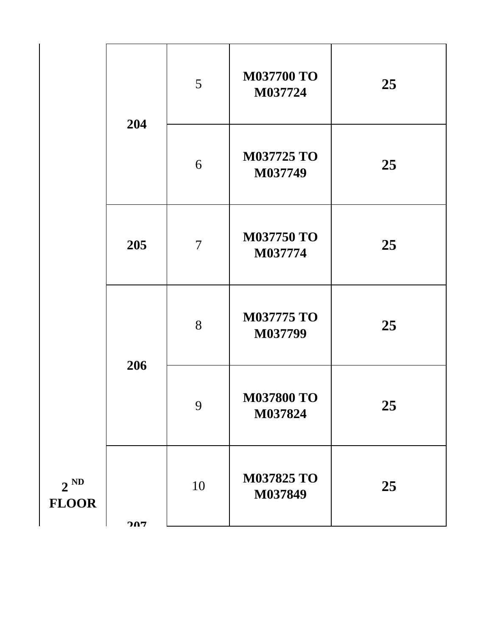|                          | 204 | 5              | <b>M037700 TO</b><br>M037724 | 25 |
|--------------------------|-----|----------------|------------------------------|----|
|                          |     | 6              | <b>M037725 TO</b><br>M037749 | 25 |
|                          | 205 | $\overline{7}$ | <b>M037750 TO</b><br>M037774 | 25 |
|                          |     | 8              | <b>M037775 TO</b><br>M037799 | 25 |
|                          | 206 | 9              | <b>M037800 TO</b><br>M037824 | 25 |
| $2^{ND}$<br><b>FLOOR</b> | 207 | 10             | M037825 TO<br>M037849        | 25 |
|                          |     |                |                              |    |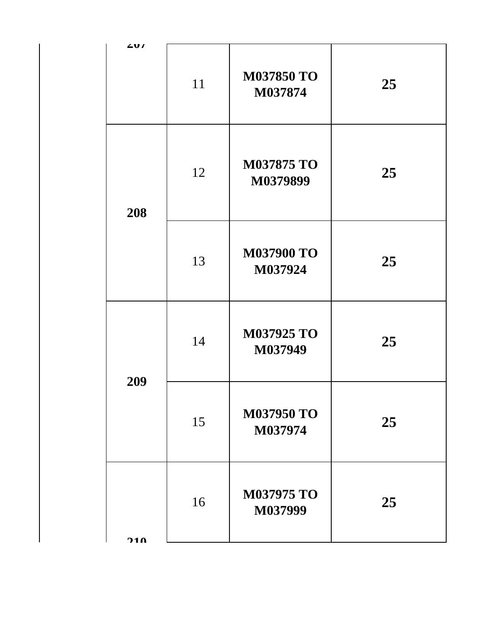| 401 |    |                               |    |
|-----|----|-------------------------------|----|
|     | 11 | <b>M037850 TO</b><br>M037874  | 25 |
| 208 | 12 | <b>M037875 TO</b><br>M0379899 | 25 |
|     | 13 | <b>M037900 TO</b><br>M037924  | 25 |
| 209 | 14 | M037925 TO<br>M037949         | 25 |
|     | 15 | <b>M037950 TO</b><br>M037974  | 25 |
| 210 | 16 | <b>M037975 TO</b><br>M037999  | 25 |
|     |    |                               |    |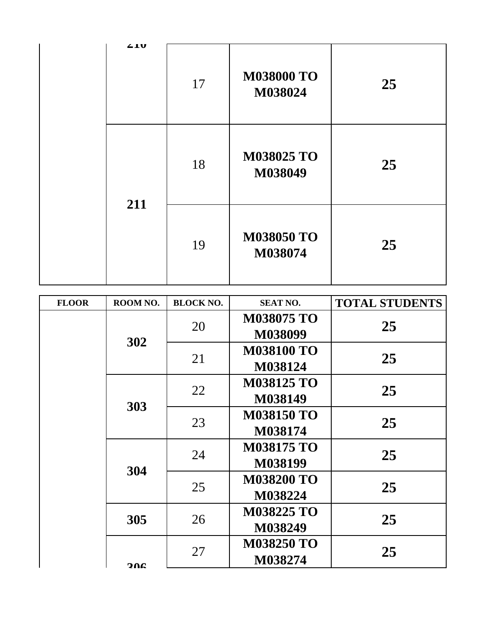|  | 410 | 17 | <b>M038000 TO</b><br>M038024 | 25 |
|--|-----|----|------------------------------|----|
|  | 211 | 18 | M038025 TO<br>M038049        | 25 |
|  |     | 19 | <b>M038050 TO</b><br>M038074 | 25 |

| <b>FLOOR</b> | ROOM NO. | <b>BLOCK NO.</b> | <b>SEAT NO.</b>   | <b>TOTAL STUDENTS</b> |    |
|--------------|----------|------------------|-------------------|-----------------------|----|
|              |          | 20               | <b>M038075 TO</b> |                       |    |
|              |          |                  | M038099           | 25                    |    |
|              | 302      | 21               | <b>M038100 TO</b> |                       |    |
|              |          |                  | M038124           | 25                    |    |
|              |          | 22               | <b>M038125 TO</b> | 25                    |    |
|              |          |                  | M038149           |                       |    |
|              | 303      | 23               | <b>M038150 TO</b> | 25                    |    |
|              |          |                  | M038174           |                       |    |
|              | 304      | 24               | <b>M038175 TO</b> | 25                    |    |
|              |          |                  | M038199           |                       |    |
|              |          | 25               | <b>M038200 TO</b> | 25                    |    |
|              |          |                  | M038224           |                       |    |
|              | 305      |                  |                   | <b>M038225 TO</b>     | 25 |
|              |          | 26               | M038249           |                       |    |
|              | 206      | 27               | <b>M038250 TO</b> | 25                    |    |
|              |          |                  | M038274           |                       |    |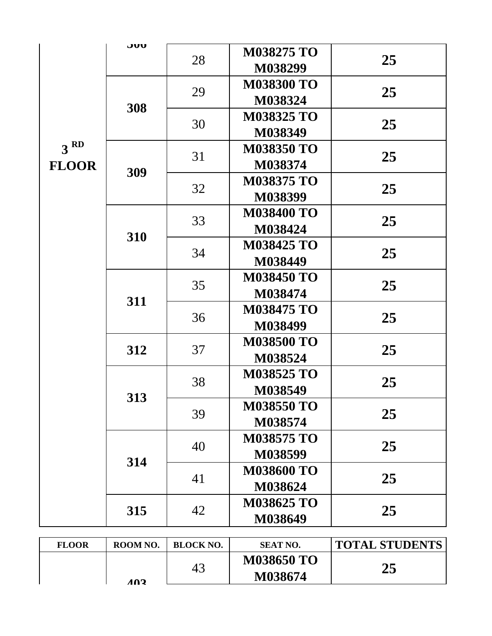|                                 | JUU | 28 | <b>M038275 TO</b><br>M038299 | 25 |
|---------------------------------|-----|----|------------------------------|----|
|                                 |     | 29 | <b>M038300 TO</b><br>M038324 | 25 |
|                                 | 308 | 30 | <b>M038325 TO</b><br>M038349 | 25 |
| 3 <sup>RD</sup><br><b>FLOOR</b> |     | 31 | <b>M038350 TO</b><br>M038374 | 25 |
|                                 | 309 | 32 | <b>M038375 TO</b><br>M038399 | 25 |
|                                 | 310 | 33 | <b>M038400 TO</b><br>M038424 | 25 |
|                                 |     | 34 | <b>M038425 TO</b><br>M038449 | 25 |
|                                 | 311 | 35 | <b>M038450 TO</b><br>M038474 | 25 |
|                                 |     | 36 | <b>M038475 TO</b><br>M038499 | 25 |
|                                 | 312 | 37 | <b>M038500 TO</b><br>M038524 | 25 |
|                                 | 313 | 38 | <b>M038525 TO</b><br>M038549 | 25 |
|                                 |     | 39 | <b>M038550 TO</b><br>M038574 | 25 |
|                                 | 314 | 40 | <b>M038575 TO</b><br>M038599 | 25 |
|                                 |     | 41 | <b>M038600 TO</b><br>M038624 | 25 |
|                                 | 315 | 42 | <b>M038625 TO</b><br>M038649 | 25 |

| <b>FLOOR</b> | ROOM NO. | <b>BLOCK NO.</b> | <b>SEAT NO.</b>              | <b>TOTAL STUDENTS</b> |
|--------------|----------|------------------|------------------------------|-----------------------|
|              | 102      | 43               | <b>M038650 TO</b><br>M038674 | 25                    |
|              |          |                  |                              |                       |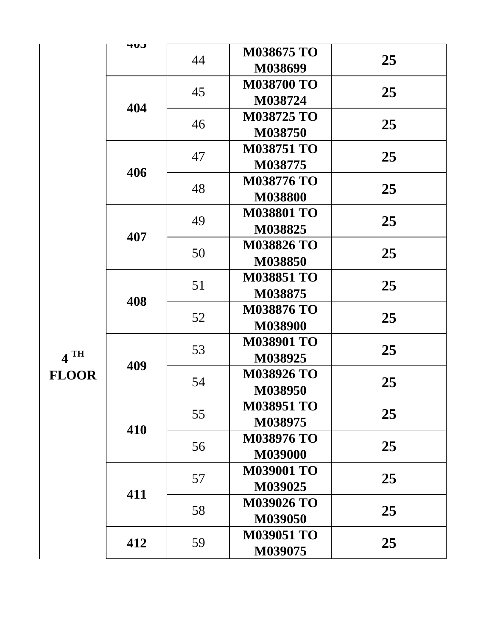|                        | <b>HUJ</b> | 44 | <b>M038675 TO</b><br>M038699 | 25 |
|------------------------|------------|----|------------------------------|----|
|                        |            | 45 | <b>M038700 TO</b><br>M038724 | 25 |
|                        | 404        | 46 | <b>M038725 TO</b><br>M038750 | 25 |
|                        |            | 47 | <b>M038751 TO</b><br>M038775 | 25 |
|                        | 406        | 48 | <b>M038776 TO</b><br>M038800 | 25 |
|                        |            | 49 | <b>M038801 TO</b><br>M038825 | 25 |
| $4$ TH<br><b>FLOOR</b> | 407        | 50 | <b>M038826 TO</b><br>M038850 | 25 |
|                        | 408        | 51 | <b>M038851 TO</b><br>M038875 | 25 |
|                        |            | 52 | <b>M038876 TO</b><br>M038900 | 25 |
|                        | 409        | 53 | <b>M038901 TO</b><br>M038925 | 25 |
|                        |            | 54 | <b>M038926 TO</b><br>M038950 | 25 |
|                        | 410        | 55 | <b>M038951 TO</b><br>M038975 | 25 |
|                        |            | 56 | <b>M038976 TO</b><br>M039000 | 25 |
|                        | 411        | 57 | <b>M039001 TO</b><br>M039025 | 25 |
|                        |            | 58 | <b>M039026 TO</b><br>M039050 | 25 |
|                        | 412        | 59 | <b>M039051 TO</b><br>M039075 | 25 |